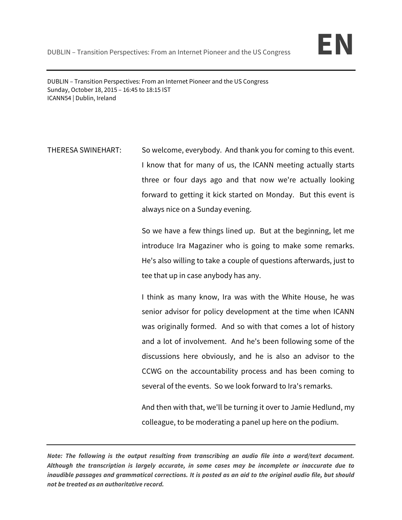

DUBLIN – Transition Perspectives: From an Internet Pioneer and the US Congress Sunday, October 18, 2015 – 16:45 to 18:15 IST ICANN54 | Dublin, Ireland

THERESA SWINEHART: So welcome, everybody. And thank you for coming to this event. I know that for many of us, the ICANN meeting actually starts three or four days ago and that now we're actually looking forward to getting it kick started on Monday. But this event is always nice on a Sunday evening.

> So we have a few things lined up. But at the beginning, let me introduce Ira Magaziner who is going to make some remarks. He's also willing to take a couple of questions afterwards, just to tee that up in case anybody has any.

> I think as many know, Ira was with the White House, he was senior advisor for policy development at the time when ICANN was originally formed. And so with that comes a lot of history and a lot of involvement. And he's been following some of the discussions here obviously, and he is also an advisor to the CCWG on the accountability process and has been coming to several of the events. So we look forward to Ira's remarks.

> And then with that, we'll be turning it over to Jamie Hedlund, my colleague, to be moderating a panel up here on the podium.

**Note: The following is the output resulting from transcribing an audio file into a word/text document. Although the transcription is largely accurate, in some cases may be incomplete or inaccurate due to inaudible passages and grammatical corrections. It is posted as an aid to the original audio file, but should not be treated as an authoritative record.**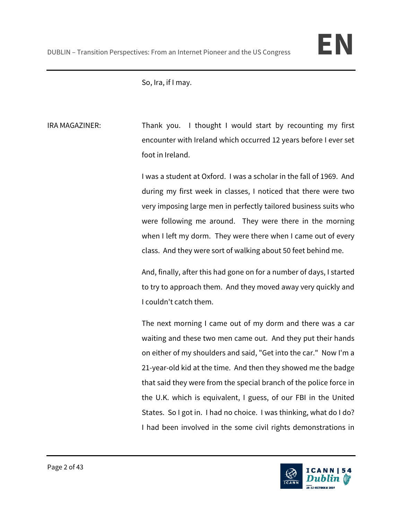So, Ira, if I may.

IRA MAGAZINER: Thank you. I thought I would start by recounting my first encounter with Ireland which occurred 12 years before I ever set foot in Ireland.

> I was a student at Oxford. I was a scholar in the fall of 1969. And during my first week in classes, I noticed that there were two very imposing large men in perfectly tailored business suits who were following me around. They were there in the morning when I left my dorm. They were there when I came out of every class. And they were sort of walking about 50 feet behind me.

> And, finally, after this had gone on for a number of days, I started to try to approach them. And they moved away very quickly and I couldn't catch them.

> The next morning I came out of my dorm and there was a car waiting and these two men came out. And they put their hands on either of my shoulders and said, "Get into the car." Now I'm a 21-year-old kid at the time. And then they showed me the badge that said they were from the special branch of the police force in the U.K. which is equivalent, I guess, of our FBI in the United States. So I got in. I had no choice. I was thinking, what do I do? I had been involved in the some civil rights demonstrations in

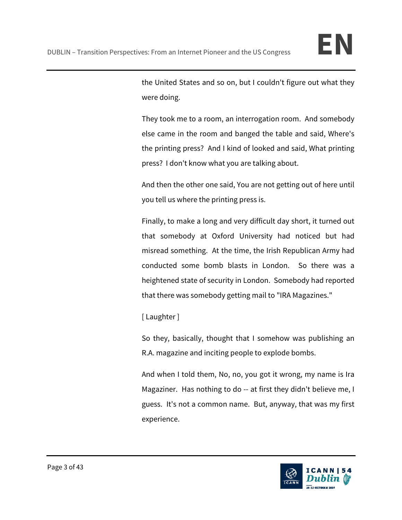the United States and so on, but I couldn't figure out what they were doing.

They took me to a room, an interrogation room. And somebody else came in the room and banged the table and said, Where's the printing press? And I kind of looked and said, What printing press? I don't know what you are talking about.

And then the other one said, You are not getting out of here until you tell us where the printing press is.

Finally, to make a long and very difficult day short, it turned out that somebody at Oxford University had noticed but had misread something. At the time, the Irish Republican Army had conducted some bomb blasts in London. So there was a heightened state of security in London. Somebody had reported that there was somebody getting mail to "IRA Magazines."

[ Laughter ]

So they, basically, thought that I somehow was publishing an R.A. magazine and inciting people to explode bombs.

And when I told them, No, no, you got it wrong, my name is Ira Magaziner. Has nothing to do -- at first they didn't believe me, I guess. It's not a common name. But, anyway, that was my first experience.

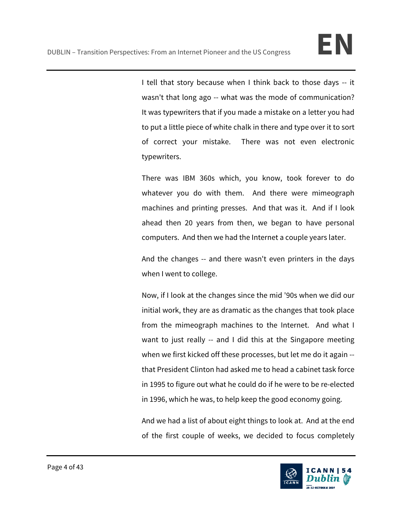I tell that story because when I think back to those days -- it wasn't that long ago -- what was the mode of communication? It was typewriters that if you made a mistake on a letter you had to put a little piece of white chalk in there and type over it to sort of correct your mistake. There was not even electronic typewriters.

There was IBM 360s which, you know, took forever to do whatever you do with them. And there were mimeograph machines and printing presses. And that was it. And if I look ahead then 20 years from then, we began to have personal computers. And then we had the Internet a couple years later.

And the changes -- and there wasn't even printers in the days when I went to college.

Now, if I look at the changes since the mid '90s when we did our initial work, they are as dramatic as the changes that took place from the mimeograph machines to the Internet. And what I want to just really -- and I did this at the Singapore meeting when we first kicked off these processes, but let me do it again - that President Clinton had asked me to head a cabinet task force in 1995 to figure out what he could do if he were to be re-elected in 1996, which he was, to help keep the good economy going.

And we had a list of about eight things to look at. And at the end of the first couple of weeks, we decided to focus completely

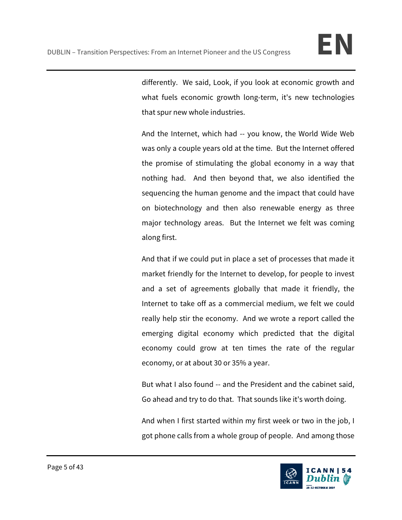differently. We said, Look, if you look at economic growth and what fuels economic growth long-term, it's new technologies that spur new whole industries.

And the Internet, which had -- you know, the World Wide Web was only a couple years old at the time. But the Internet offered the promise of stimulating the global economy in a way that nothing had. And then beyond that, we also identified the sequencing the human genome and the impact that could have on biotechnology and then also renewable energy as three major technology areas. But the Internet we felt was coming along first.

And that if we could put in place a set of processes that made it market friendly for the Internet to develop, for people to invest and a set of agreements globally that made it friendly, the Internet to take off as a commercial medium, we felt we could really help stir the economy. And we wrote a report called the emerging digital economy which predicted that the digital economy could grow at ten times the rate of the regular economy, or at about 30 or 35% a year.

But what I also found -- and the President and the cabinet said, Go ahead and try to do that. That sounds like it's worth doing.

And when I first started within my first week or two in the job, I got phone calls from a whole group of people. And among those

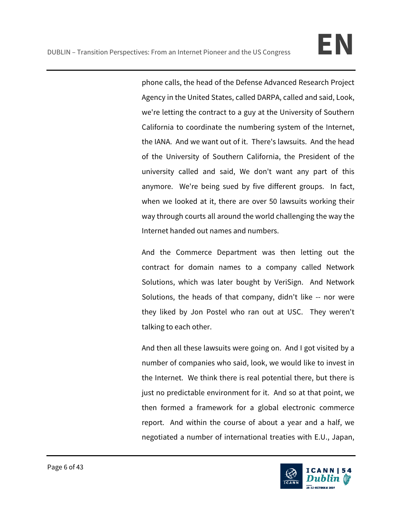phone calls, the head of the Defense Advanced Research Project Agency in the United States, called DARPA, called and said, Look, we're letting the contract to a guy at the University of Southern California to coordinate the numbering system of the Internet, the IANA. And we want out of it. There's lawsuits. And the head of the University of Southern California, the President of the university called and said, We don't want any part of this anymore. We're being sued by five different groups. In fact, when we looked at it, there are over 50 lawsuits working their way through courts all around the world challenging the way the Internet handed out names and numbers.

And the Commerce Department was then letting out the contract for domain names to a company called Network Solutions, which was later bought by VeriSign. And Network Solutions, the heads of that company, didn't like -- nor were they liked by Jon Postel who ran out at USC. They weren't talking to each other.

And then all these lawsuits were going on. And I got visited by a number of companies who said, look, we would like to invest in the Internet. We think there is real potential there, but there is just no predictable environment for it. And so at that point, we then formed a framework for a global electronic commerce report. And within the course of about a year and a half, we negotiated a number of international treaties with E.U., Japan,

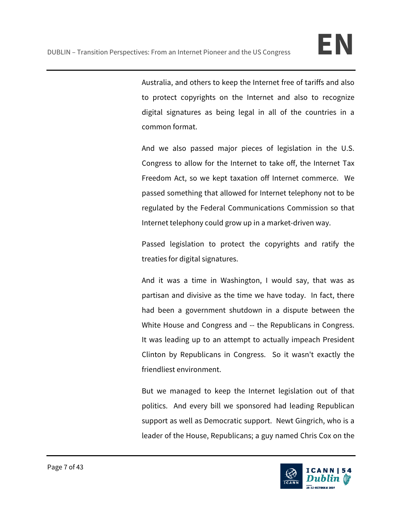Australia, and others to keep the Internet free of tariffs and also to protect copyrights on the Internet and also to recognize digital signatures as being legal in all of the countries in a common format.

And we also passed major pieces of legislation in the U.S. Congress to allow for the Internet to take off, the Internet Tax Freedom Act, so we kept taxation off Internet commerce. We passed something that allowed for Internet telephony not to be regulated by the Federal Communications Commission so that Internet telephony could grow up in a market-driven way.

Passed legislation to protect the copyrights and ratify the treaties for digital signatures.

And it was a time in Washington, I would say, that was as partisan and divisive as the time we have today. In fact, there had been a government shutdown in a dispute between the White House and Congress and -- the Republicans in Congress. It was leading up to an attempt to actually impeach President Clinton by Republicans in Congress. So it wasn't exactly the friendliest environment.

But we managed to keep the Internet legislation out of that politics. And every bill we sponsored had leading Republican support as well as Democratic support. Newt Gingrich, who is a leader of the House, Republicans; a guy named Chris Cox on the

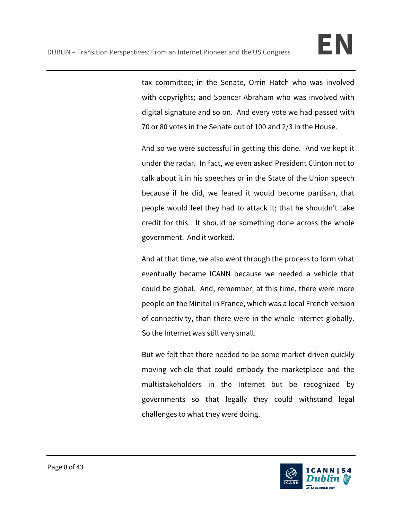tax committee; in the Senate, Orrin Hatch who was involved with copyrights; and Spencer Abraham who was involved with digital signature and so on. And every vote we had passed with 70 or 80 votes in the Senate out of 100 and 2/3 in the House.

And so we were successful in getting this done. And we kept it under the radar. In fact, we even asked President Clinton not to talk about it in his speeches or in the State of the Union speech because if he did, we feared it would become partisan, that people would feel they had to attack it; that he shouldn't take credit for this. It should be something done across the whole government. And it worked.

And at that time, we also went through the process to form what eventually became ICANN because we needed a vehicle that could be global. And, remember, at this time, there were more people on the Minitel in France, which was a local French version of connectivity, than there were in the whole Internet globally. So the Internet was still very small.

But we felt that there needed to be some market-driven quickly moving vehicle that could embody the marketplace and the multistakeholders in the Internet but be recognized by governments so that legally they could withstand legal challenges to what they were doing.

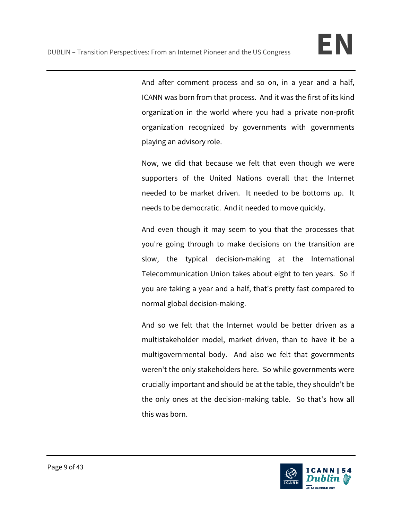And after comment process and so on, in a year and a half, ICANN was born from that process. And it was the first of its kind organization in the world where you had a private non-profit organization recognized by governments with governments playing an advisory role.

Now, we did that because we felt that even though we were supporters of the United Nations overall that the Internet needed to be market driven. It needed to be bottoms up. It needs to be democratic. And it needed to move quickly.

And even though it may seem to you that the processes that you're going through to make decisions on the transition are slow, the typical decision-making at the International Telecommunication Union takes about eight to ten years. So if you are taking a year and a half, that's pretty fast compared to normal global decision-making.

And so we felt that the Internet would be better driven as a multistakeholder model, market driven, than to have it be a multigovernmental body. And also we felt that governments weren't the only stakeholders here. So while governments were crucially important and should be at the table, they shouldn't be the only ones at the decision-making table. So that's how all this was born.

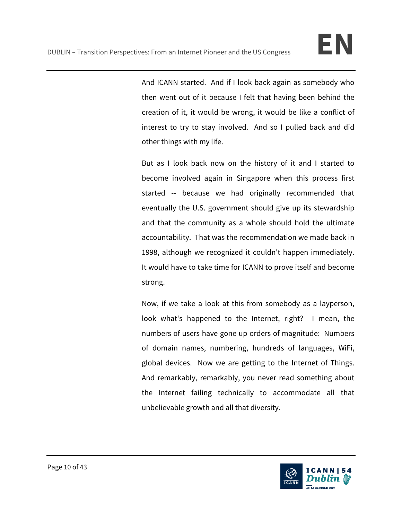And ICANN started. And if I look back again as somebody who then went out of it because I felt that having been behind the creation of it, it would be wrong, it would be like a conflict of interest to try to stay involved. And so I pulled back and did other things with my life.

But as I look back now on the history of it and I started to become involved again in Singapore when this process first started -- because we had originally recommended that eventually the U.S. government should give up its stewardship and that the community as a whole should hold the ultimate accountability. That was the recommendation we made back in 1998, although we recognized it couldn't happen immediately. It would have to take time for ICANN to prove itself and become strong.

Now, if we take a look at this from somebody as a layperson, look what's happened to the Internet, right? I mean, the numbers of users have gone up orders of magnitude: Numbers of domain names, numbering, hundreds of languages, WiFi, global devices. Now we are getting to the Internet of Things. And remarkably, remarkably, you never read something about the Internet failing technically to accommodate all that unbelievable growth and all that diversity.

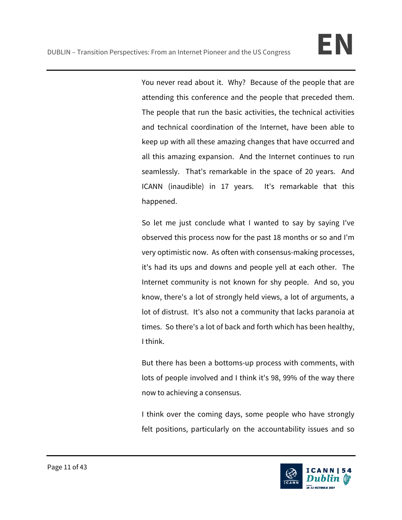You never read about it. Why? Because of the people that are attending this conference and the people that preceded them. The people that run the basic activities, the technical activities and technical coordination of the Internet, have been able to keep up with all these amazing changes that have occurred and all this amazing expansion. And the Internet continues to run seamlessly. That's remarkable in the space of 20 years. And ICANN (inaudible) in 17 years. It's remarkable that this happened.

So let me just conclude what I wanted to say by saying I've observed this process now for the past 18 months or so and I'm very optimistic now. As often with consensus-making processes, it's had its ups and downs and people yell at each other. The Internet community is not known for shy people. And so, you know, there's a lot of strongly held views, a lot of arguments, a lot of distrust. It's also not a community that lacks paranoia at times. So there's a lot of back and forth which has been healthy, I think.

But there has been a bottoms-up process with comments, with lots of people involved and I think it's 98, 99% of the way there now to achieving a consensus.

I think over the coming days, some people who have strongly felt positions, particularly on the accountability issues and so

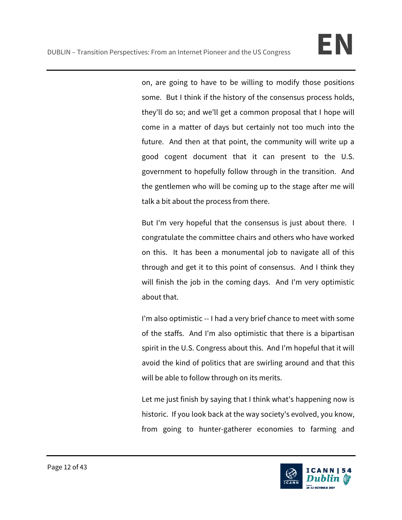on, are going to have to be willing to modify those positions some. But I think if the history of the consensus process holds, they'll do so; and we'll get a common proposal that I hope will come in a matter of days but certainly not too much into the future. And then at that point, the community will write up a good cogent document that it can present to the U.S. government to hopefully follow through in the transition. And the gentlemen who will be coming up to the stage after me will talk a bit about the process from there.

But I'm very hopeful that the consensus is just about there. I congratulate the committee chairs and others who have worked on this. It has been a monumental job to navigate all of this through and get it to this point of consensus. And I think they will finish the job in the coming days. And I'm very optimistic about that.

I'm also optimistic -- I had a very brief chance to meet with some of the staffs. And I'm also optimistic that there is a bipartisan spirit in the U.S. Congress about this. And I'm hopeful that it will avoid the kind of politics that are swirling around and that this will be able to follow through on its merits.

Let me just finish by saying that I think what's happening now is historic. If you look back at the way society's evolved, you know, from going to hunter-gatherer economies to farming and

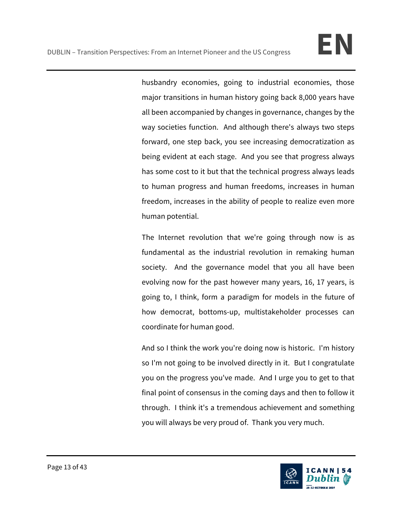husbandry economies, going to industrial economies, those major transitions in human history going back 8,000 years have all been accompanied by changes in governance, changes by the way societies function. And although there's always two steps forward, one step back, you see increasing democratization as being evident at each stage. And you see that progress always has some cost to it but that the technical progress always leads to human progress and human freedoms, increases in human freedom, increases in the ability of people to realize even more human potential.

The Internet revolution that we're going through now is as fundamental as the industrial revolution in remaking human society. And the governance model that you all have been evolving now for the past however many years, 16, 17 years, is going to, I think, form a paradigm for models in the future of how democrat, bottoms-up, multistakeholder processes can coordinate for human good.

And so I think the work you're doing now is historic. I'm history so I'm not going to be involved directly in it. But I congratulate you on the progress you've made. And I urge you to get to that final point of consensus in the coming days and then to follow it through. I think it's a tremendous achievement and something you will always be very proud of. Thank you very much.

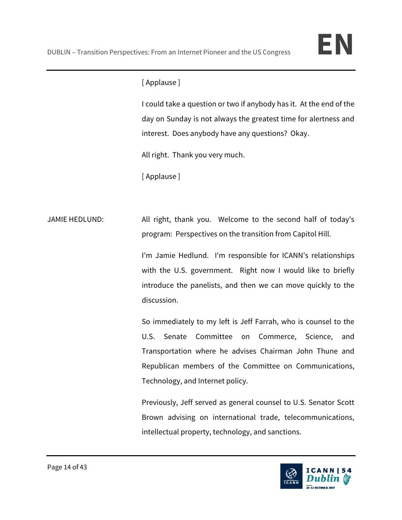# [ Applause ]

I could take a question or two if anybody has it. At the end of the day on Sunday is not always the greatest time for alertness and interest. Does anybody have any questions? Okay.

All right. Thank you very much.

[ Applause ]

JAMIE HEDLUND: All right, thank you. Welcome to the second half of today's program: Perspectives on the transition from Capitol Hill.

> I'm Jamie Hedlund. I'm responsible for ICANN's relationships with the U.S. government. Right now I would like to briefly introduce the panelists, and then we can move quickly to the discussion.

> So immediately to my left is Jeff Farrah, who is counsel to the U.S. Senate Committee on Commerce, Science, and Transportation where he advises Chairman John Thune and Republican members of the Committee on Communications, Technology, and Internet policy.

> Previously, Jeff served as general counsel to U.S. Senator Scott Brown advising on international trade, telecommunications, intellectual property, technology, and sanctions.

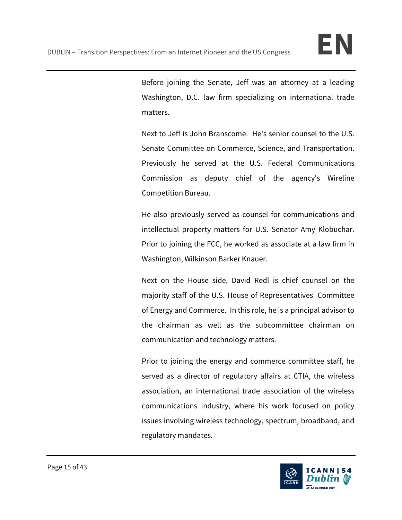Before joining the Senate, Jeff was an attorney at a leading Washington, D.C. law firm specializing on international trade matters.

Next to Jeff is John Branscome. He's senior counsel to the U.S. Senate Committee on Commerce, Science, and Transportation. Previously he served at the U.S. Federal Communications Commission as deputy chief of the agency's Wireline Competition Bureau.

He also previously served as counsel for communications and intellectual property matters for U.S. Senator Amy Klobuchar. Prior to joining the FCC, he worked as associate at a law firm in Washington, Wilkinson Barker Knauer.

Next on the House side, David Redl is chief counsel on the majority staff of the U.S. House of Representatives' Committee of Energy and Commerce. In this role, he is a principal advisor to the chairman as well as the subcommittee chairman on communication and technology matters.

Prior to joining the energy and commerce committee staff, he served as a director of regulatory affairs at CTIA, the wireless association, an international trade association of the wireless communications industry, where his work focused on policy issues involving wireless technology, spectrum, broadband, and regulatory mandates.

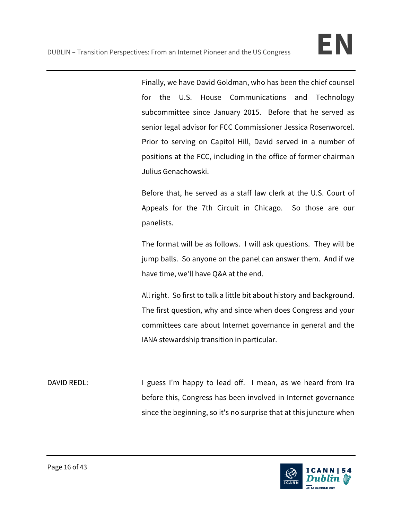Finally, we have David Goldman, who has been the chief counsel for the U.S. House Communications and Technology subcommittee since January 2015. Before that he served as senior legal advisor for FCC Commissioner Jessica Rosenworcel. Prior to serving on Capitol Hill, David served in a number of positions at the FCC, including in the office of former chairman Julius Genachowski.

Before that, he served as a staff law clerk at the U.S. Court of Appeals for the 7th Circuit in Chicago. So those are our panelists.

The format will be as follows. I will ask questions. They will be jump balls. So anyone on the panel can answer them. And if we have time, we'll have Q&A at the end.

All right. So first to talk a little bit about history and background. The first question, why and since when does Congress and your committees care about Internet governance in general and the IANA stewardship transition in particular.

DAVID REDL: I guess I'm happy to lead off. I mean, as we heard from Ira before this, Congress has been involved in Internet governance since the beginning, so it's no surprise that at this juncture when

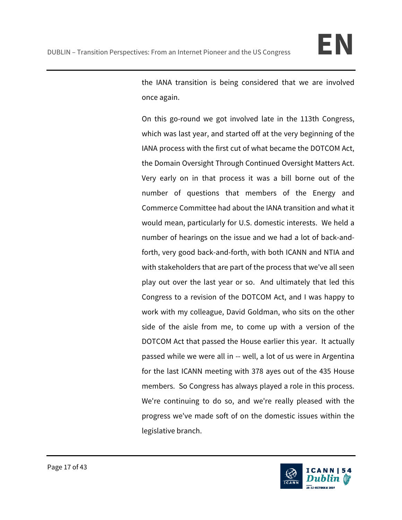

the IANA transition is being considered that we are involved once again.

On this go-round we got involved late in the 113th Congress, which was last year, and started off at the very beginning of the IANA process with the first cut of what became the DOTCOM Act, the Domain Oversight Through Continued Oversight Matters Act. Very early on in that process it was a bill borne out of the number of questions that members of the Energy and Commerce Committee had about the IANA transition and what it would mean, particularly for U.S. domestic interests. We held a number of hearings on the issue and we had a lot of back-andforth, very good back-and-forth, with both ICANN and NTIA and with stakeholders that are part of the process that we've all seen play out over the last year or so. And ultimately that led this Congress to a revision of the DOTCOM Act, and I was happy to work with my colleague, David Goldman, who sits on the other side of the aisle from me, to come up with a version of the DOTCOM Act that passed the House earlier this year. It actually passed while we were all in -- well, a lot of us were in Argentina for the last ICANN meeting with 378 ayes out of the 435 House members. So Congress has always played a role in this process. We're continuing to do so, and we're really pleased with the progress we've made soft of on the domestic issues within the legislative branch.

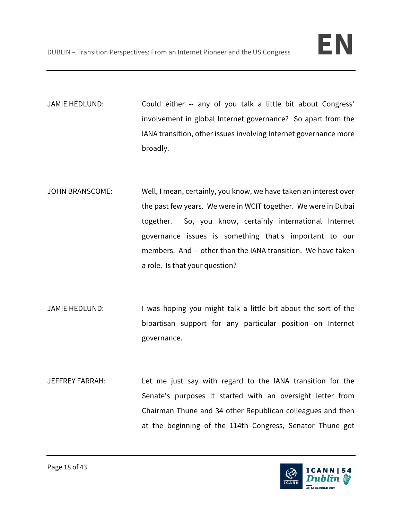JAMIE HEDLUND: Could either -- any of you talk a little bit about Congress' involvement in global Internet governance? So apart from the IANA transition, other issues involving Internet governance more broadly.

- JOHN BRANSCOME: Well, I mean, certainly, you know, we have taken an interest over the past few years. We were in WCIT together. We were in Dubai together. So, you know, certainly international Internet governance issues is something that's important to our members. And -- other than the IANA transition. We have taken a role. Is that your question?
- JAMIE HEDLUND: I was hoping you might talk a little bit about the sort of the bipartisan support for any particular position on Internet governance.
- JEFFREY FARRAH: Let me just say with regard to the IANA transition for the Senate's purposes it started with an oversight letter from Chairman Thune and 34 other Republican colleagues and then at the beginning of the 114th Congress, Senator Thune got

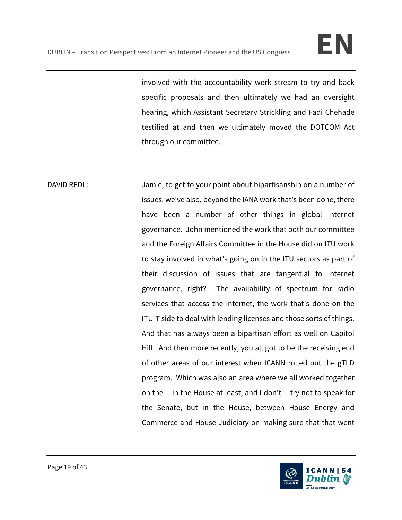involved with the accountability work stream to try and back specific proposals and then ultimately we had an oversight hearing, which Assistant Secretary Strickling and Fadi Chehade testified at and then we ultimately moved the DOTCOM Act through our committee.

DAVID REDL: Jamie, to get to your point about bipartisanship on a number of issues, we've also, beyond the IANA work that's been done, there have been a number of other things in global Internet governance. John mentioned the work that both our committee and the Foreign Affairs Committee in the House did on ITU work to stay involved in what's going on in the ITU sectors as part of their discussion of issues that are tangential to Internet governance, right? The availability of spectrum for radio services that access the internet, the work that's done on the ITU-T side to deal with lending licenses and those sorts of things. And that has always been a bipartisan effort as well on Capitol Hill. And then more recently, you all got to be the receiving end of other areas of our interest when ICANN rolled out the gTLD program. Which was also an area where we all worked together on the -- in the House at least, and I don't -- try not to speak for the Senate, but in the House, between House Energy and Commerce and House Judiciary on making sure that that went

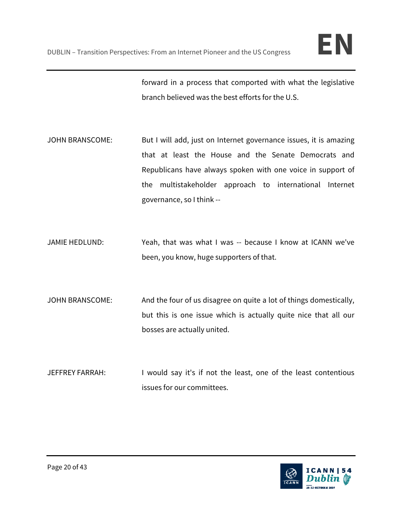forward in a process that comported with what the legislative branch believed was the best efforts for the U.S.

- JOHN BRANSCOME: But I will add, just on Internet governance issues, it is amazing that at least the House and the Senate Democrats and Republicans have always spoken with one voice in support of the multistakeholder approach to international Internet governance, so I think --
- JAMIE HEDLUND: Yeah, that was what I was -- because I know at ICANN we've been, you know, huge supporters of that.
- JOHN BRANSCOME: And the four of us disagree on quite a lot of things domestically, but this is one issue which is actually quite nice that all our bosses are actually united.
- JEFFREY FARRAH: I would say it's if not the least, one of the least contentious issues for our committees.

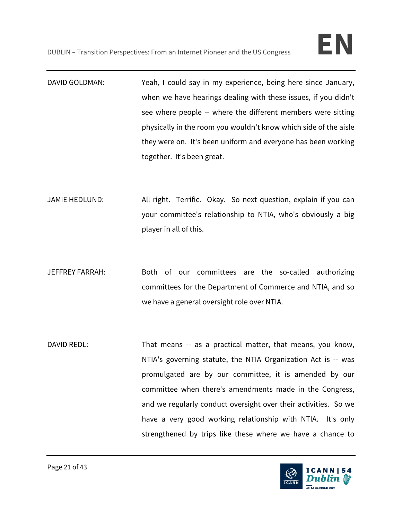- DAVID GOLDMAN: Yeah, I could say in my experience, being here since January, when we have hearings dealing with these issues, if you didn't see where people -- where the different members were sitting physically in the room you wouldn't know which side of the aisle they were on. It's been uniform and everyone has been working together. It's been great.
- JAMIE HEDLUND: All right. Terrific. Okay. So next question, explain if you can your committee's relationship to NTIA, who's obviously a big player in all of this.
- JEFFREY FARRAH: Both of our committees are the so-called authorizing committees for the Department of Commerce and NTIA, and so we have a general oversight role over NTIA.
- DAVID REDL: That means -- as a practical matter, that means, you know, NTIA's governing statute, the NTIA Organization Act is -- was promulgated are by our committee, it is amended by our committee when there's amendments made in the Congress, and we regularly conduct oversight over their activities. So we have a very good working relationship with NTIA. It's only strengthened by trips like these where we have a chance to

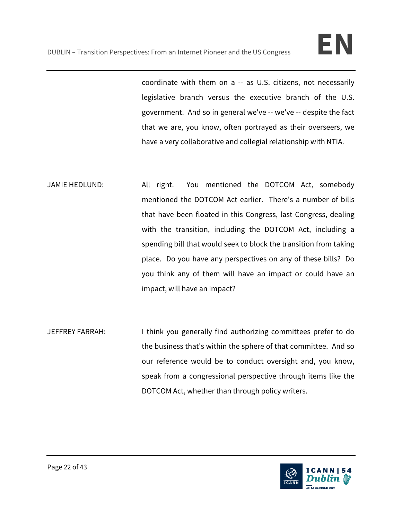coordinate with them on a -- as U.S. citizens, not necessarily legislative branch versus the executive branch of the U.S. government. And so in general we've -- we've -- despite the fact that we are, you know, often portrayed as their overseers, we have a very collaborative and collegial relationship with NTIA.

JAMIE HEDLUND: All right. You mentioned the DOTCOM Act, somebody mentioned the DOTCOM Act earlier. There's a number of bills that have been floated in this Congress, last Congress, dealing with the transition, including the DOTCOM Act, including a spending bill that would seek to block the transition from taking place. Do you have any perspectives on any of these bills? Do you think any of them will have an impact or could have an impact, will have an impact?

JEFFREY FARRAH: I think you generally find authorizing committees prefer to do the business that's within the sphere of that committee. And so our reference would be to conduct oversight and, you know, speak from a congressional perspective through items like the DOTCOM Act, whether than through policy writers.

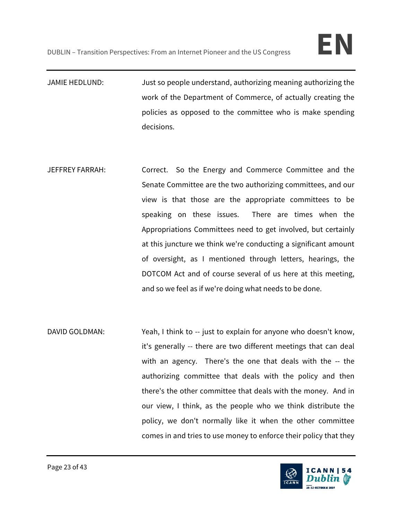- JAMIE HEDLUND: Just so people understand, authorizing meaning authorizing the work of the Department of Commerce, of actually creating the policies as opposed to the committee who is make spending decisions.
- JEFFREY FARRAH: Correct. So the Energy and Commerce Committee and the Senate Committee are the two authorizing committees, and our view is that those are the appropriate committees to be speaking on these issues. There are times when the Appropriations Committees need to get involved, but certainly at this juncture we think we're conducting a significant amount of oversight, as I mentioned through letters, hearings, the DOTCOM Act and of course several of us here at this meeting, and so we feel as if we're doing what needs to be done.
- DAVID GOLDMAN: Yeah, I think to -- just to explain for anyone who doesn't know, it's generally -- there are two different meetings that can deal with an agency. There's the one that deals with the -- the authorizing committee that deals with the policy and then there's the other committee that deals with the money. And in our view, I think, as the people who we think distribute the policy, we don't normally like it when the other committee comes in and tries to use money to enforce their policy that they

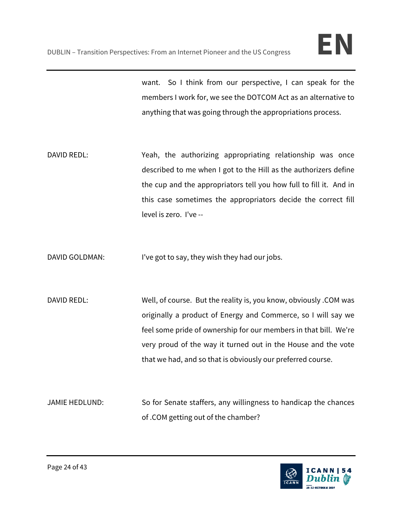want. So I think from our perspective, I can speak for the members I work for, we see the DOTCOM Act as an alternative to anything that was going through the appropriations process.

- DAVID REDL: Yeah, the authorizing appropriating relationship was once described to me when I got to the Hill as the authorizers define the cup and the appropriators tell you how full to fill it. And in this case sometimes the appropriators decide the correct fill level is zero. I've --
- DAVID GOLDMAN: I've got to say, they wish they had our jobs.
- DAVID REDL: Well, of course. But the reality is, you know, obviously .COM was originally a product of Energy and Commerce, so I will say we feel some pride of ownership for our members in that bill. We're very proud of the way it turned out in the House and the vote that we had, and so that is obviously our preferred course.
- JAMIE HEDLUND: So for Senate staffers, any willingness to handicap the chances of .COM getting out of the chamber?

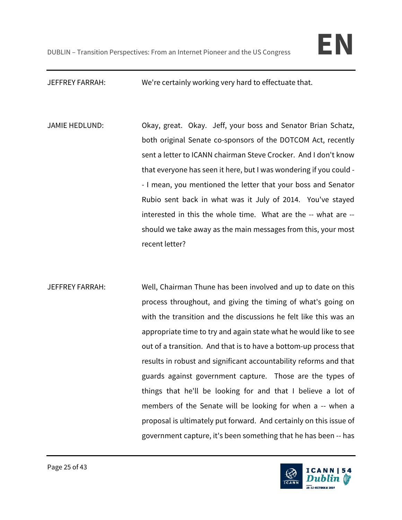JEFFREY FARRAH: We're certainly working very hard to effectuate that.

JAMIE HEDLUND: Okay, great. Okay. Jeff, your boss and Senator Brian Schatz, both original Senate co-sponsors of the DOTCOM Act, recently sent a letter to ICANN chairman Steve Crocker. And I don't know that everyone has seen it here, but I was wondering if you could - - I mean, you mentioned the letter that your boss and Senator Rubio sent back in what was it July of 2014. You've stayed interested in this the whole time. What are the -- what are - should we take away as the main messages from this, your most recent letter?

JEFFREY FARRAH: Well, Chairman Thune has been involved and up to date on this process throughout, and giving the timing of what's going on with the transition and the discussions he felt like this was an appropriate time to try and again state what he would like to see out of a transition. And that is to have a bottom-up process that results in robust and significant accountability reforms and that guards against government capture. Those are the types of things that he'll be looking for and that I believe a lot of members of the Senate will be looking for when a -- when a proposal is ultimately put forward. And certainly on this issue of government capture, it's been something that he has been -- has

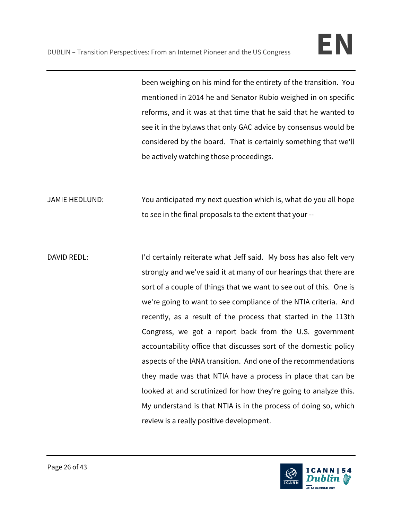been weighing on his mind for the entirety of the transition. You mentioned in 2014 he and Senator Rubio weighed in on specific reforms, and it was at that time that he said that he wanted to see it in the bylaws that only GAC advice by consensus would be considered by the board. That is certainly something that we'll be actively watching those proceedings.

JAMIE HEDLUND: You anticipated my next question which is, what do you all hope to see in the final proposals to the extent that your --

DAVID REDL: I'd certainly reiterate what Jeff said. My boss has also felt very strongly and we've said it at many of our hearings that there are sort of a couple of things that we want to see out of this. One is we're going to want to see compliance of the NTIA criteria. And recently, as a result of the process that started in the 113th Congress, we got a report back from the U.S. government accountability office that discusses sort of the domestic policy aspects of the IANA transition. And one of the recommendations they made was that NTIA have a process in place that can be looked at and scrutinized for how they're going to analyze this. My understand is that NTIA is in the process of doing so, which review is a really positive development.

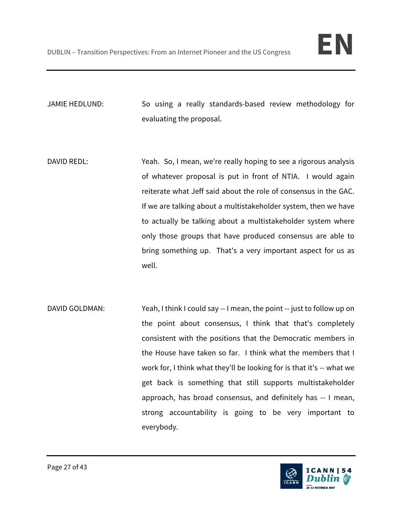JAMIE HEDLUND: So using a really standards-based review methodology for evaluating the proposal.

- DAVID REDL: Yeah. So, I mean, we're really hoping to see a rigorous analysis of whatever proposal is put in front of NTIA. I would again reiterate what Jeff said about the role of consensus in the GAC. If we are talking about a multistakeholder system, then we have to actually be talking about a multistakeholder system where only those groups that have produced consensus are able to bring something up. That's a very important aspect for us as well.
- DAVID GOLDMAN: Yeah, I think I could say -- I mean, the point -- just to follow up on the point about consensus, I think that that's completely consistent with the positions that the Democratic members in the House have taken so far. I think what the members that I work for, I think what they'll be looking for is that it's -- what we get back is something that still supports multistakeholder approach, has broad consensus, and definitely has -- I mean, strong accountability is going to be very important to everybody.

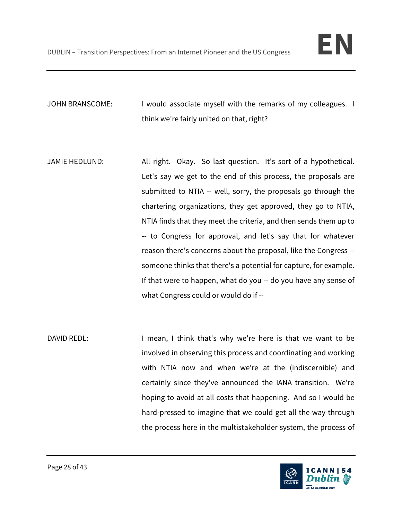JOHN BRANSCOME: I would associate myself with the remarks of my colleagues. I think we're fairly united on that, right?

- JAMIE HEDLUND: All right. Okay. So last question. It's sort of a hypothetical. Let's say we get to the end of this process, the proposals are submitted to NTIA -- well, sorry, the proposals go through the chartering organizations, they get approved, they go to NTIA, NTIA finds that they meet the criteria, and then sends them up to -- to Congress for approval, and let's say that for whatever reason there's concerns about the proposal, like the Congress - someone thinks that there's a potential for capture, for example. If that were to happen, what do you -- do you have any sense of what Congress could or would do if --
- DAVID REDL: I mean, I think that's why we're here is that we want to be involved in observing this process and coordinating and working with NTIA now and when we're at the (indiscernible) and certainly since they've announced the IANA transition. We're hoping to avoid at all costs that happening. And so I would be hard-pressed to imagine that we could get all the way through the process here in the multistakeholder system, the process of

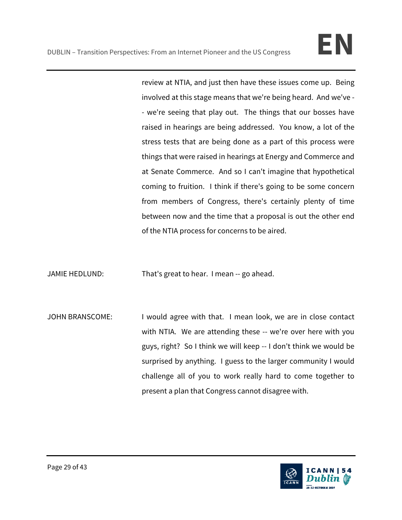review at NTIA, and just then have these issues come up. Being involved at this stage means that we're being heard. And we've - - we're seeing that play out. The things that our bosses have raised in hearings are being addressed. You know, a lot of the stress tests that are being done as a part of this process were things that were raised in hearings at Energy and Commerce and at Senate Commerce. And so I can't imagine that hypothetical coming to fruition. I think if there's going to be some concern from members of Congress, there's certainly plenty of time between now and the time that a proposal is out the other end of the NTIA process for concerns to be aired.

JAMIE HEDLUND: That's great to hear. I mean -- go ahead.

JOHN BRANSCOME: I would agree with that. I mean look, we are in close contact with NTIA. We are attending these -- we're over here with you guys, right? So I think we will keep -- I don't think we would be surprised by anything. I guess to the larger community I would challenge all of you to work really hard to come together to present a plan that Congress cannot disagree with.

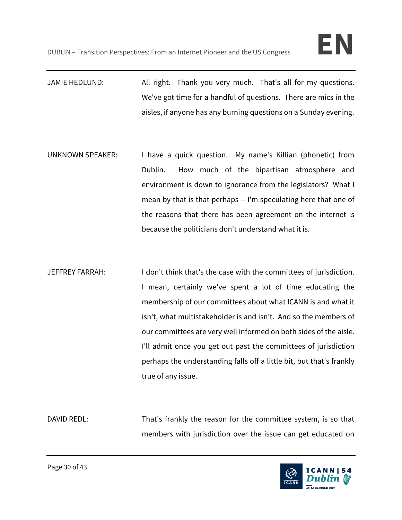JAMIE HEDLUND: All right. Thank you very much. That's all for my questions. We've got time for a handful of questions. There are mics in the aisles, if anyone has any burning questions on a Sunday evening.

- UNKNOWN SPEAKER: I have a quick question. My name's Killian (phonetic) from Dublin. How much of the bipartisan atmosphere and environment is down to ignorance from the legislators? What I mean by that is that perhaps -- I'm speculating here that one of the reasons that there has been agreement on the internet is because the politicians don't understand what it is.
- JEFFREY FARRAH: I don't think that's the case with the committees of jurisdiction. I mean, certainly we've spent a lot of time educating the membership of our committees about what ICANN is and what it isn't, what multistakeholder is and isn't. And so the members of our committees are very well informed on both sides of the aisle. I'll admit once you get out past the committees of jurisdiction perhaps the understanding falls off a little bit, but that's frankly true of any issue.

DAVID REDL: That's frankly the reason for the committee system, is so that members with jurisdiction over the issue can get educated on

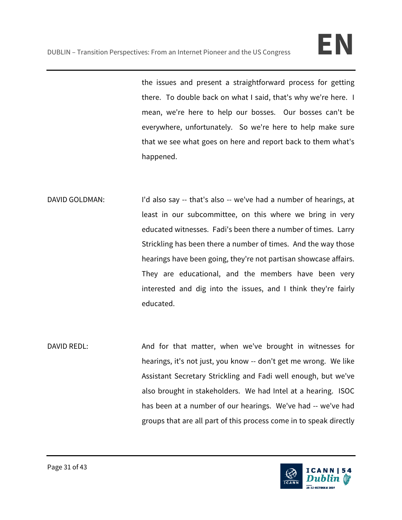the issues and present a straightforward process for getting there. To double back on what I said, that's why we're here. I mean, we're here to help our bosses. Our bosses can't be everywhere, unfortunately. So we're here to help make sure that we see what goes on here and report back to them what's happened.

- DAVID GOLDMAN: I'd also say -- that's also -- we've had a number of hearings, at least in our subcommittee, on this where we bring in very educated witnesses. Fadi's been there a number of times. Larry Strickling has been there a number of times. And the way those hearings have been going, they're not partisan showcase affairs. They are educational, and the members have been very interested and dig into the issues, and I think they're fairly educated.
- DAVID REDL: And for that matter, when we've brought in witnesses for hearings, it's not just, you know -- don't get me wrong. We like Assistant Secretary Strickling and Fadi well enough, but we've also brought in stakeholders. We had Intel at a hearing. ISOC has been at a number of our hearings. We've had -- we've had groups that are all part of this process come in to speak directly

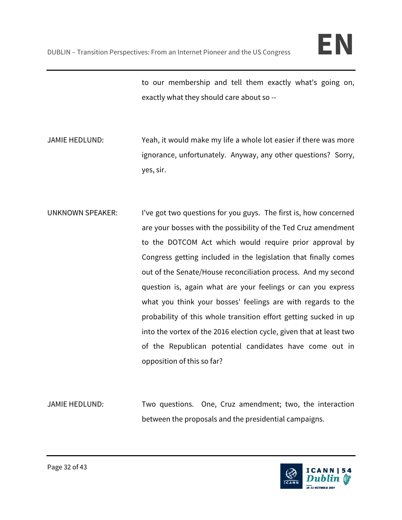to our membership and tell them exactly what's going on, exactly what they should care about so --

- JAMIE HEDLUND: Yeah, it would make my life a whole lot easier if there was more ignorance, unfortunately. Anyway, any other questions? Sorry, yes, sir.
- UNKNOWN SPEAKER: I've got two questions for you guys. The first is, how concerned are your bosses with the possibility of the Ted Cruz amendment to the DOTCOM Act which would require prior approval by Congress getting included in the legislation that finally comes out of the Senate/House reconciliation process. And my second question is, again what are your feelings or can you express what you think your bosses' feelings are with regards to the probability of this whole transition effort getting sucked in up into the vortex of the 2016 election cycle, given that at least two of the Republican potential candidates have come out in opposition of this so far?
- JAMIE HEDLUND: Two questions. One, Cruz amendment; two, the interaction between the proposals and the presidential campaigns.

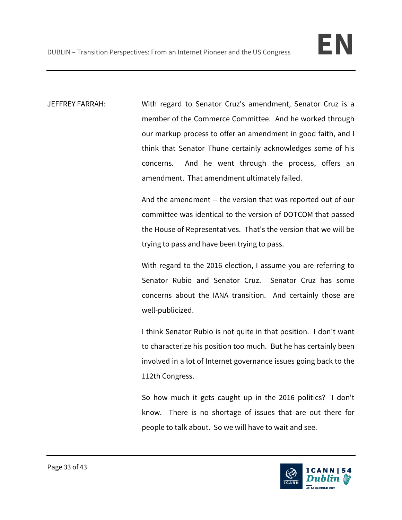JEFFREY FARRAH: With regard to Senator Cruz's amendment, Senator Cruz is a member of the Commerce Committee. And he worked through our markup process to offer an amendment in good faith, and I think that Senator Thune certainly acknowledges some of his concerns. And he went through the process, offers an amendment. That amendment ultimately failed.

> And the amendment -- the version that was reported out of our committee was identical to the version of DOTCOM that passed the House of Representatives. That's the version that we will be trying to pass and have been trying to pass.

> With regard to the 2016 election, I assume you are referring to Senator Rubio and Senator Cruz. Senator Cruz has some concerns about the IANA transition. And certainly those are well-publicized.

> I think Senator Rubio is not quite in that position. I don't want to characterize his position too much. But he has certainly been involved in a lot of Internet governance issues going back to the 112th Congress.

> So how much it gets caught up in the 2016 politics? I don't know. There is no shortage of issues that are out there for people to talk about. So we will have to wait and see.

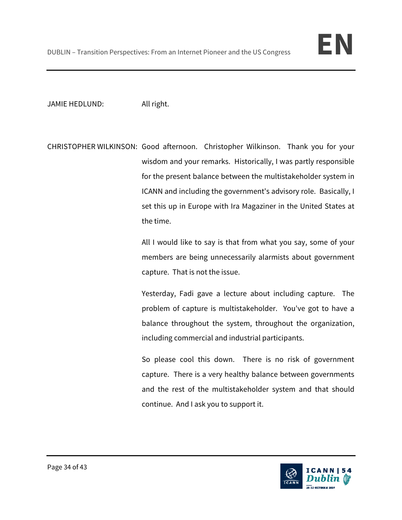

JAMIE HEDLUND: All right.

CHRISTOPHER WILKINSON: Good afternoon. Christopher Wilkinson. Thank you for your wisdom and your remarks. Historically, I was partly responsible for the present balance between the multistakeholder system in ICANN and including the government's advisory role. Basically, I set this up in Europe with Ira Magaziner in the United States at the time.

> All I would like to say is that from what you say, some of your members are being unnecessarily alarmists about government capture. That is not the issue.

> Yesterday, Fadi gave a lecture about including capture. The problem of capture is multistakeholder. You've got to have a balance throughout the system, throughout the organization, including commercial and industrial participants.

> So please cool this down. There is no risk of government capture. There is a very healthy balance between governments and the rest of the multistakeholder system and that should continue. And I ask you to support it.

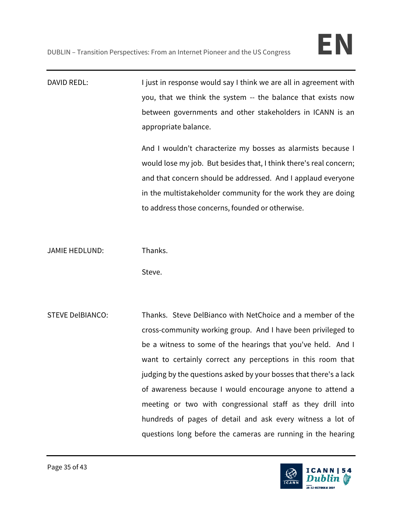DAVID REDL: I just in response would say I think we are all in agreement with you, that we think the system -- the balance that exists now between governments and other stakeholders in ICANN is an appropriate balance.

> And I wouldn't characterize my bosses as alarmists because I would lose my job. But besides that, I think there's real concern; and that concern should be addressed. And I applaud everyone in the multistakeholder community for the work they are doing to address those concerns, founded or otherwise.

JAMIE HEDLUND: Thanks.

Steve.

STEVE DelBIANCO: Thanks. Steve DelBianco with NetChoice and a member of the cross-community working group. And I have been privileged to be a witness to some of the hearings that you've held. And I want to certainly correct any perceptions in this room that judging by the questions asked by your bosses that there's a lack of awareness because I would encourage anyone to attend a meeting or two with congressional staff as they drill into hundreds of pages of detail and ask every witness a lot of questions long before the cameras are running in the hearing

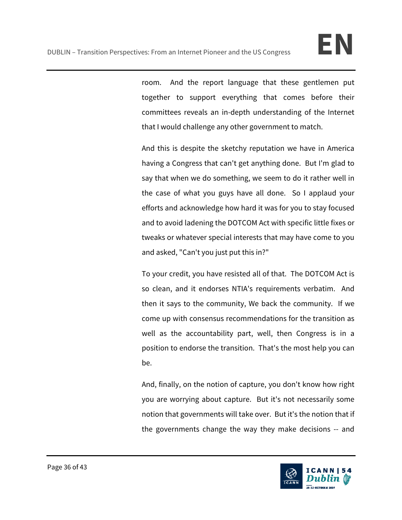room. And the report language that these gentlemen put together to support everything that comes before their committees reveals an in-depth understanding of the Internet that I would challenge any other government to match.

And this is despite the sketchy reputation we have in America having a Congress that can't get anything done. But I'm glad to say that when we do something, we seem to do it rather well in the case of what you guys have all done. So I applaud your efforts and acknowledge how hard it was for you to stay focused and to avoid ladening the DOTCOM Act with specific little fixes or tweaks or whatever special interests that may have come to you and asked, "Can't you just put this in?"

To your credit, you have resisted all of that. The DOTCOM Act is so clean, and it endorses NTIA's requirements verbatim. And then it says to the community, We back the community. If we come up with consensus recommendations for the transition as well as the accountability part, well, then Congress is in a position to endorse the transition. That's the most help you can be.

And, finally, on the notion of capture, you don't know how right you are worrying about capture. But it's not necessarily some notion that governments will take over. But it's the notion that if the governments change the way they make decisions -- and

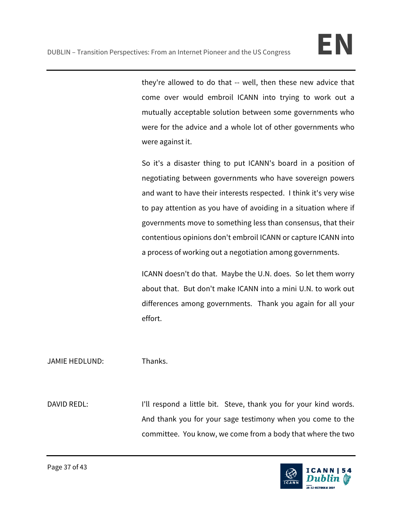they're allowed to do that -- well, then these new advice that come over would embroil ICANN into trying to work out a mutually acceptable solution between some governments who were for the advice and a whole lot of other governments who were against it.

So it's a disaster thing to put ICANN's board in a position of negotiating between governments who have sovereign powers and want to have their interests respected. I think it's very wise to pay attention as you have of avoiding in a situation where if governments move to something less than consensus, that their contentious opinions don't embroil ICANN or capture ICANN into a process of working out a negotiation among governments.

ICANN doesn't do that. Maybe the U.N. does. So let them worry about that. But don't make ICANN into a mini U.N. to work out differences among governments. Thank you again for all your effort.

## JAMIE HEDLUND: Thanks.

DAVID REDL: I'll respond a little bit. Steve, thank you for your kind words. And thank you for your sage testimony when you come to the committee. You know, we come from a body that where the two

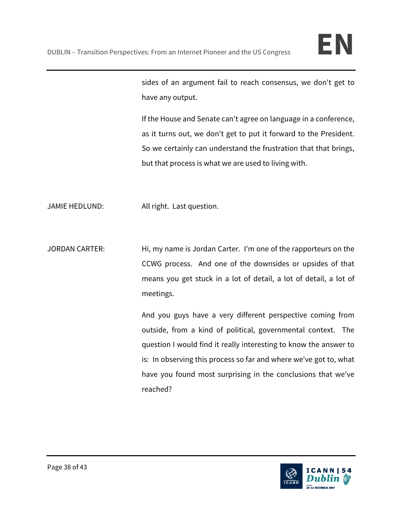sides of an argument fail to reach consensus, we don't get to have any output.

If the House and Senate can't agree on language in a conference, as it turns out, we don't get to put it forward to the President. So we certainly can understand the frustration that that brings, but that process is what we are used to living with.

JAMIE HEDLUND: All right. Last question.

JORDAN CARTER: Hi, my name is Jordan Carter. I'm one of the rapporteurs on the CCWG process. And one of the downsides or upsides of that means you get stuck in a lot of detail, a lot of detail, a lot of meetings.

> And you guys have a very different perspective coming from outside, from a kind of political, governmental context. The question I would find it really interesting to know the answer to is: In observing this process so far and where we've got to, what have you found most surprising in the conclusions that we've reached?

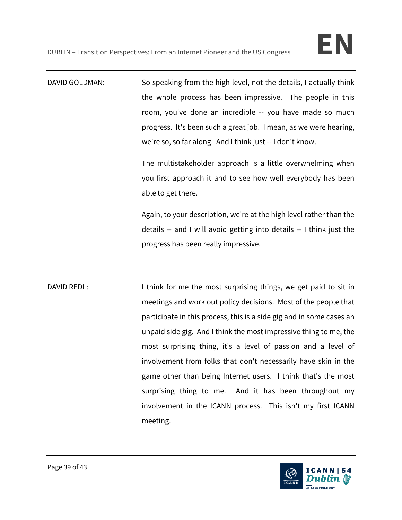DAVID GOLDMAN: So speaking from the high level, not the details, I actually think the whole process has been impressive. The people in this room, you've done an incredible -- you have made so much progress. It's been such a great job. I mean, as we were hearing, we're so, so far along. And I think just -- I don't know.

> The multistakeholder approach is a little overwhelming when you first approach it and to see how well everybody has been able to get there.

> Again, to your description, we're at the high level rather than the details -- and I will avoid getting into details -- I think just the progress has been really impressive.

DAVID REDL: I think for me the most surprising things, we get paid to sit in meetings and work out policy decisions. Most of the people that participate in this process, this is a side gig and in some cases an unpaid side gig. And I think the most impressive thing to me, the most surprising thing, it's a level of passion and a level of involvement from folks that don't necessarily have skin in the game other than being Internet users. I think that's the most surprising thing to me. And it has been throughout my involvement in the ICANN process. This isn't my first ICANN meeting.

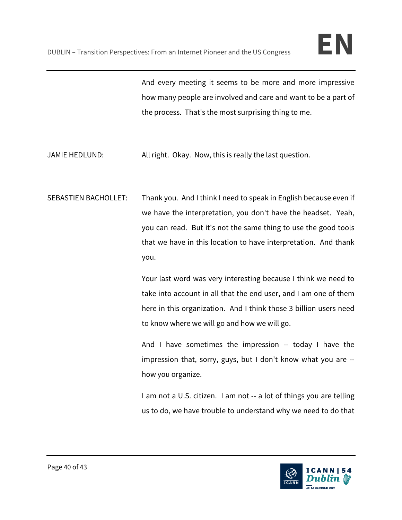And every meeting it seems to be more and more impressive how many people are involved and care and want to be a part of the process. That's the most surprising thing to me.

- JAMIE HEDLUND: All right. Okay. Now, this is really the last question.
- SEBASTIEN BACHOLLET: Thank you. And I think I need to speak in English because even if we have the interpretation, you don't have the headset. Yeah, you can read. But it's not the same thing to use the good tools that we have in this location to have interpretation. And thank you.

Your last word was very interesting because I think we need to take into account in all that the end user, and I am one of them here in this organization. And I think those 3 billion users need to know where we will go and how we will go.

And I have sometimes the impression -- today I have the impression that, sorry, guys, but I don't know what you are - how you organize.

I am not a U.S. citizen. I am not -- a lot of things you are telling us to do, we have trouble to understand why we need to do that

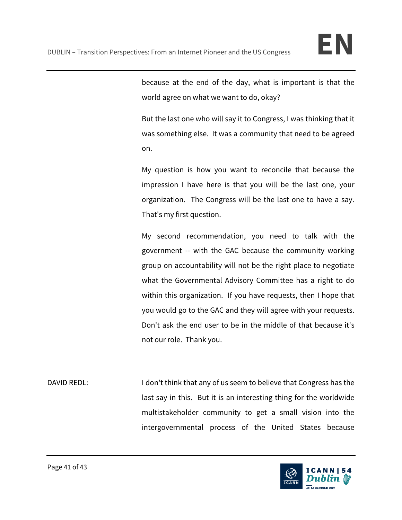because at the end of the day, what is important is that the world agree on what we want to do, okay?

But the last one who will say it to Congress, I was thinking that it was something else. It was a community that need to be agreed on.

My question is how you want to reconcile that because the impression I have here is that you will be the last one, your organization. The Congress will be the last one to have a say. That's my first question.

My second recommendation, you need to talk with the government -- with the GAC because the community working group on accountability will not be the right place to negotiate what the Governmental Advisory Committee has a right to do within this organization. If you have requests, then I hope that you would go to the GAC and they will agree with your requests. Don't ask the end user to be in the middle of that because it's not our role. Thank you.

DAVID REDL: I don't think that any of us seem to believe that Congress has the last say in this. But it is an interesting thing for the worldwide multistakeholder community to get a small vision into the intergovernmental process of the United States because

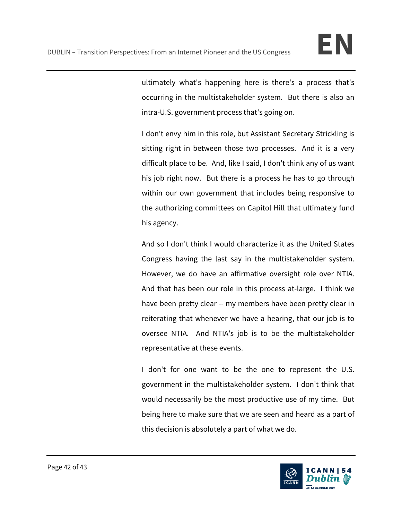ultimately what's happening here is there's a process that's occurring in the multistakeholder system. But there is also an intra-U.S. government process that's going on.

I don't envy him in this role, but Assistant Secretary Strickling is sitting right in between those two processes. And it is a very difficult place to be. And, like I said, I don't think any of us want his job right now. But there is a process he has to go through within our own government that includes being responsive to the authorizing committees on Capitol Hill that ultimately fund his agency.

And so I don't think I would characterize it as the United States Congress having the last say in the multistakeholder system. However, we do have an affirmative oversight role over NTIA. And that has been our role in this process at-large. I think we have been pretty clear -- my members have been pretty clear in reiterating that whenever we have a hearing, that our job is to oversee NTIA. And NTIA's job is to be the multistakeholder representative at these events.

I don't for one want to be the one to represent the U.S. government in the multistakeholder system. I don't think that would necessarily be the most productive use of my time. But being here to make sure that we are seen and heard as a part of this decision is absolutely a part of what we do.